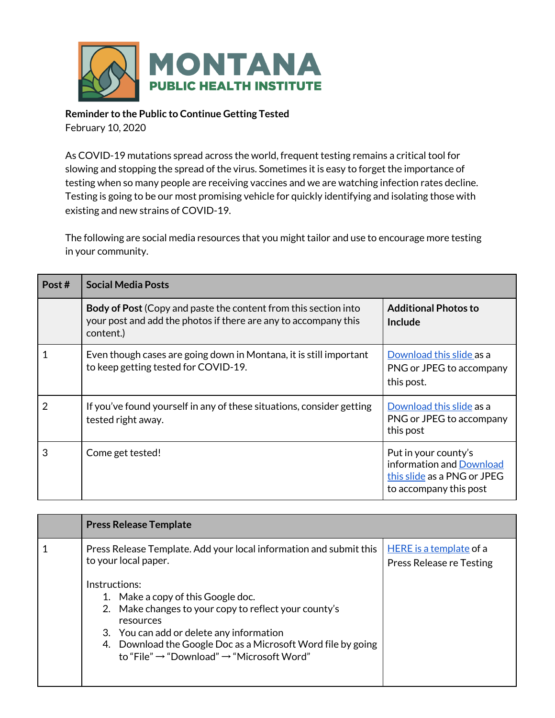

## **Reminder to the Public to Continue Getting Tested**

February 10, 2020

As COVID-19 mutations spread across the world, frequent testing remains a critical tool for slowing and stopping the spread of the virus. Sometimes it is easy to forget the importance of testing when so many people are receiving vaccines and we are watching infection rates decline. Testing is going to be our most promising vehicle for quickly identifying and isolating those with existing and new strains of COVID-19.

The following are social media resources that you might tailor and use to encourage more testing in your community.

| Post # | <b>Social Media Posts</b>                                                                                                                              |                                                                                                           |
|--------|--------------------------------------------------------------------------------------------------------------------------------------------------------|-----------------------------------------------------------------------------------------------------------|
|        | <b>Body of Post</b> (Copy and paste the content from this section into<br>your post and add the photos if there are any to accompany this<br>content.) | <b>Additional Photos to</b><br>Include                                                                    |
|        | Even though cases are going down in Montana, it is still important<br>to keep getting tested for COVID-19.                                             | Download this slide as a<br>PNG or JPEG to accompany<br>this post.                                        |
| 2      | If you've found yourself in any of these situations, consider getting<br>tested right away.                                                            | Download this slide as a<br>PNG or JPEG to accompany<br>this post                                         |
| 3      | Come get tested!                                                                                                                                       | Put in your county's<br>information and Download<br>this slide as a PNG or JPEG<br>to accompany this post |

| <b>Press Release Template</b>                                                                                                                                                                                                                                                                                 |                                                            |  |
|---------------------------------------------------------------------------------------------------------------------------------------------------------------------------------------------------------------------------------------------------------------------------------------------------------------|------------------------------------------------------------|--|
| Press Release Template. Add your local information and submit this<br>to your local paper.                                                                                                                                                                                                                    | HERE is a template of a<br><b>Press Release re Testing</b> |  |
| Instructions:<br>1. Make a copy of this Google doc.<br>2. Make changes to your copy to reflect your county's<br>resources<br>3. You can add or delete any information<br>Download the Google Doc as a Microsoft Word file by going<br>4.<br>to "File" $\rightarrow$ "Download" $\rightarrow$ "Microsoft Word" |                                                            |  |